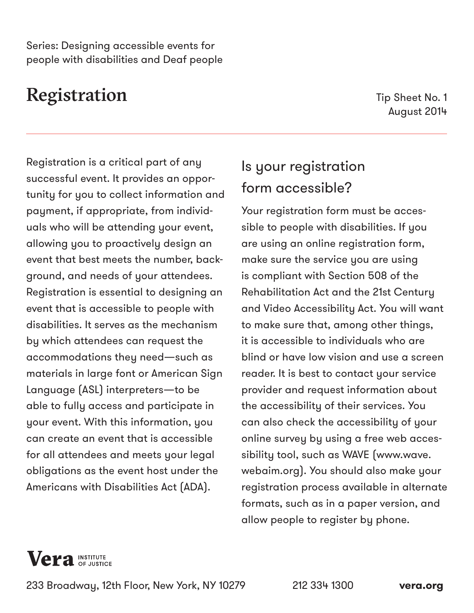Series: Designing accessible events for people with disabilities and Deaf people

## Registration

Tip Sheet No. 1 August 2014

Registration is a critical part of any successful event. It provides an opportunity for you to collect information and payment, if appropriate, from individuals who will be attending your event, allowing you to proactively design an event that best meets the number, background, and needs of your attendees. Registration is essential to designing an event that is accessible to people with disabilities. It serves as the mechanism by which attendees can request the accommodations they need—such as materials in large font or American Sign Language (ASL) interpreters—to be able to fully access and participate in your event. With this information, you can create an event that is accessible for all attendees and meets your legal obligations as the event host under the Americans with Disabilities Act (ADA).

## Is your registration form accessible?

Your registration form must be accessible to people with disabilities. If you are using an online registration form, make sure the service you are using is compliant with Section 508 of the Rehabilitation Act and the 21st Century and Video Accessibility Act. You will want to make sure that, among other things, it is accessible to individuals who are blind or have low vision and use a screen reader. It is best to contact your service provider and request information about the accessibility of their services. You can also check the accessibility of your online survey by using a free web accessibility tool, such as WAVE ([www.wave.](www.wave.webaim.org) [webaim.org](www.wave.webaim.org)). You should also make your registration process available in alternate formats, such as in a paper version, and allow people to register by phone.



233 Broadway, 12th Floor, New York, NY 10279 212 334 1300 **[vera.org](http://www.vera.org)**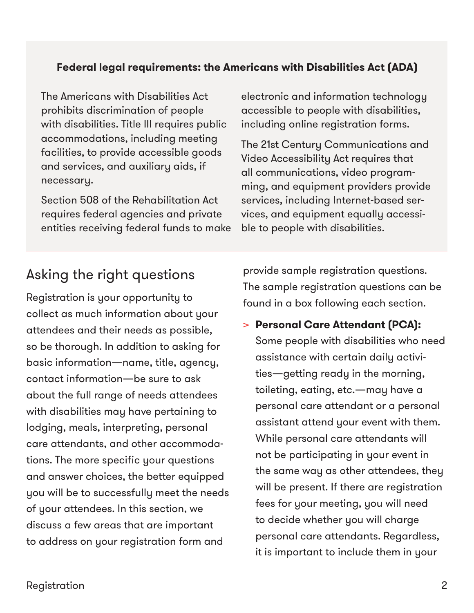#### **Federal legal requirements: the Americans with Disabilities Act (ADA)**

The Americans with Disabilities Act prohibits discrimination of people with disabilities. Title III requires public accommodations, including meeting facilities, to provide accessible goods and services, and auxiliary aids, if necessary.

Section 508 of the Rehabilitation Act requires federal agencies and private entities receiving federal funds to make electronic and information technology accessible to people with disabilities, including online registration forms.

The 21st Century Communications and Video Accessibility Act requires that all communications, video programming, and equipment providers provide services, including Internet-based services, and equipment equally accessible to people with disabilities.

### Asking the right questions

Registration is your opportunity to collect as much information about your attendees and their needs as possible, so be thorough. In addition to asking for basic information—name, title, agency, contact information—be sure to ask about the full range of needs attendees with disabilities may have pertaining to lodging, meals, interpreting, personal care attendants, and other accommodations. The more specific your questions and answer choices, the better equipped you will be to successfully meet the needs of your attendees. In this section, we discuss a few areas that are important to address on your registration form and

provide sample registration questions. The sample registration questions can be found in a box following each section.

> **Personal Care Attendant (PCA):** Some people with disabilities who need assistance with certain daily activities—getting ready in the morning, toileting, eating, etc.—may have a personal care attendant or a personal assistant attend your event with them. While personal care attendants will not be participating in your event in the same way as other attendees, they will be present. If there are registration fees for your meeting, you will need to decide whether you will charge personal care attendants. Regardless, it is important to include them in your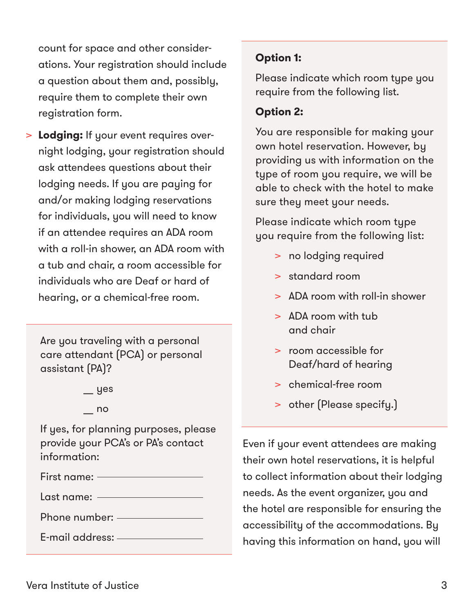count for space and other considerations. Your registration should include a question about them and, possibly, require them to complete their own registration form.

> **Lodging:** If your event requires overnight lodging, your registration should ask attendees questions about their lodging needs. If you are paying for and/or making lodging reservations for individuals, you will need to know if an attendee requires an ADA room with a roll-in shower, an ADA room with a tub and chair, a room accessible for individuals who are Deaf or hard of hearing, or a chemical-free room.

Are you traveling with a personal care attendant (PCA) or personal assistant (PA)?

 $\equiv$  yes

 $-$  no

If yes, for planning purposes, please provide your PCA's or PA's contact information:

First name:

Last name:

Phone number:

E-mail address:

### **Option 1:**

Please indicate which room type you require from the following list.

### **Option 2:**

You are responsible for making your own hotel reservation. However, by providing us with information on the type of room you require, we will be able to check with the hotel to make sure they meet your needs.

Please indicate which room type you require from the following list:

- > no lodging required
- > standard room
- > ADA room with roll-in shower
- > ADA room with tub and chair
- > room accessible for Deaf/hard of hearing
- > chemical-free room
- > other (Please specify.)

Even if your event attendees are making their own hotel reservations, it is helpful to collect information about their lodging needs. As the event organizer, you and the hotel are responsible for ensuring the accessibility of the accommodations. By having this information on hand, you will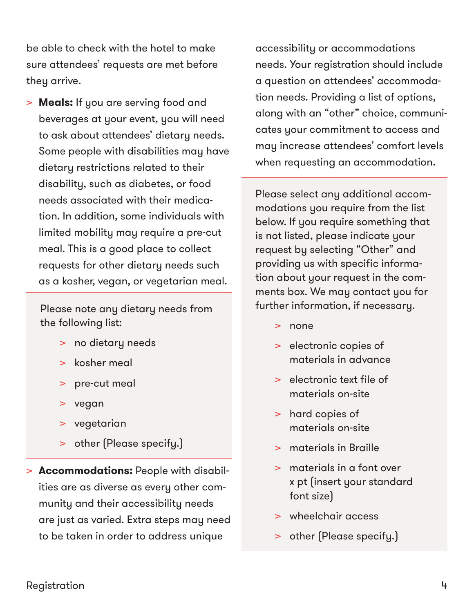be able to check with the hotel to make sure attendees' requests are met before they arrive.

> **Meals:** If you are serving food and beverages at your event, you will need to ask about attendees' dietary needs. Some people with disabilities may have dietary restrictions related to their disability, such as diabetes, or food needs associated with their medication. In addition, some individuals with limited mobility may require a pre-cut meal. This is a good place to collect requests for other dietary needs such as a kosher, vegan, or vegetarian meal.

Please note any dietary needs from the following list:

- > no dietary needs
- > kosher meal
- > pre-cut meal
- > vegan
- > vegetarian
- > other (Please specify.)
- > **Accommodations:** People with disabilities are as diverse as every other community and their accessibility needs are just as varied. Extra steps may need to be taken in order to address unique

accessibility or accommodations needs. Your registration should include a question on attendees' accommodation needs. Providing a list of options, along with an "other" choice, communicates your commitment to access and may increase attendees' comfort levels when requesting an accommodation.

Please select any additional accommodations you require from the list below. If you require something that is not listed, please indicate your request by selecting "Other" and providing us with specific information about your request in the comments box. We may contact you for further information, if necessary.

- > none
- > electronic copies of materials in advance
- > electronic text file of materials on-site
- > hard copies of materials on-site
- > materials in Braille
- > materials in a font over x pt (insert your standard font size)
- > wheelchair access
- > other (Please specify.)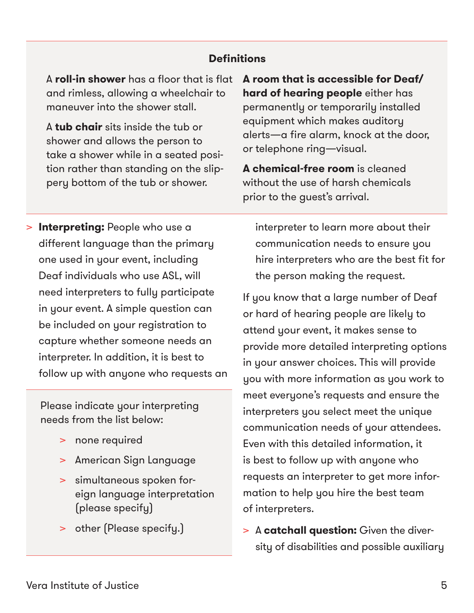#### **Definitions**

A **roll-in shower** has a floor that is flat and rimless, allowing a wheelchair to maneuver into the shower stall.

A **tub chair** sits inside the tub or shower and allows the person to take a shower while in a seated position rather than standing on the slippery bottom of the tub or shower.

**A room that is accessible for Deaf/ hard of hearing people** either has permanently or temporarily installed equipment which makes auditory alerts—a fire alarm, knock at the door, or telephone ring—visual.

**A chemical-free room** is cleaned without the use of harsh chemicals prior to the guest's arrival.

> **Interpreting:** People who use a different language than the primary one used in your event, including Deaf individuals who use ASL, will need interpreters to fully participate in your event. A simple question can be included on your registration to capture whether someone needs an interpreter. In addition, it is best to follow up with anyone who requests an

Please indicate your interpreting needs from the list below:

- > none required
- > American Sign Language
- > simultaneous spoken foreign language interpretation (please specify)
- > other (Please specify.)

interpreter to learn more about their communication needs to ensure you hire interpreters who are the best fit for the person making the request.

If you know that a large number of Deaf or hard of hearing people are likely to attend your event, it makes sense to provide more detailed interpreting options in your answer choices. This will provide you with more information as you work to meet everyone's requests and ensure the interpreters you select meet the unique communication needs of your attendees. Even with this detailed information, it is best to follow up with anyone who requests an interpreter to get more information to help you hire the best team of interpreters.

> A **catchall question:** Given the diversity of disabilities and possible auxiliary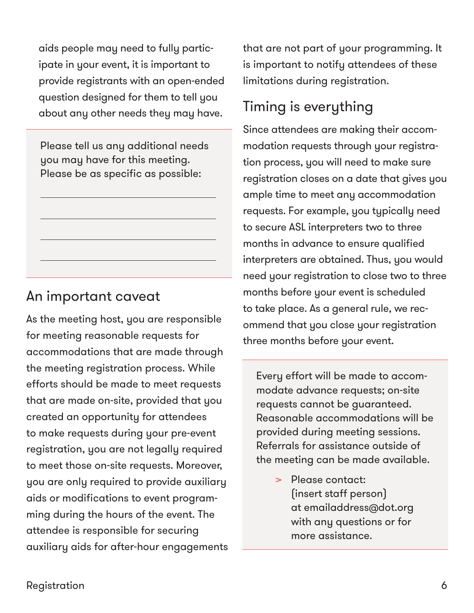aids people may need to fully participate in your event, it is important to provide registrants with an open-ended question designed for them to tell you about any other needs they may have.

Please tell us any additional needs you may have for this meeting. Please be as specific as possible:

### An important caveat

As the meeting host, you are responsible for meeting reasonable requests for accommodations that are made through the meeting registration process. While efforts should be made to meet requests that are made on-site, provided that you created an opportunity for attendees to make requests during your pre-event registration, you are not legally required to meet those on-site requests. Moreover, you are only required to provide auxiliary aids or modifications to event programming during the hours of the event. The attendee is responsible for securing auxiliary aids for after-hour engagements that are not part of your programming. It is important to notify attendees of these limitations during registration.

### Timing is everything

Since attendees are making their accommodation requests through your registration process, you will need to make sure registration closes on a date that gives you ample time to meet any accommodation requests. For example, you typically need to secure ASL interpreters two to three months in advance to ensure qualified interpreters are obtained. Thus, you would need your registration to close two to three months before your event is scheduled to take place. As a general rule, we recommend that you close your registration three months before your event.

Every effort will be made to accommodate advance requests; on-site requests cannot be guaranteed. Reasonable accommodations will be provided during meeting sessions. Referrals for assistance outside of the meeting can be made available.

> > Please contact: (insert staff person) at emailaddress@dot.org with any questions or for more assistance.